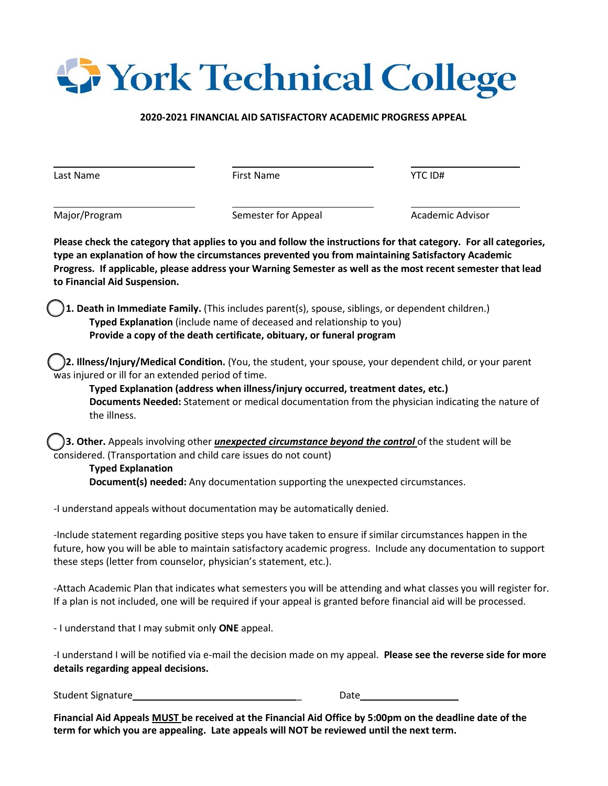## **S** York Technical College

## **2020-2021 FINANCIAL AID SATISFACTORY ACADEMIC PROGRESS APPEAL**

| Last Name                                                                                   | <b>First Name</b>                                                                                                                                                                                                                                  | YTC ID#                                                                                                                                                                                                                         |
|---------------------------------------------------------------------------------------------|----------------------------------------------------------------------------------------------------------------------------------------------------------------------------------------------------------------------------------------------------|---------------------------------------------------------------------------------------------------------------------------------------------------------------------------------------------------------------------------------|
| Major/Program                                                                               | Semester for Appeal                                                                                                                                                                                                                                | Academic Advisor                                                                                                                                                                                                                |
| to Financial Aid Suspension.                                                                | type an explanation of how the circumstances prevented you from maintaining Satisfactory Academic                                                                                                                                                  | Please check the category that applies to you and follow the instructions for that category. For all categories,<br>Progress. If applicable, please address your Warning Semester as well as the most recent semester that lead |
|                                                                                             | 1. Death in Immediate Family. (This includes parent(s), spouse, siblings, or dependent children.)<br>Typed Explanation (include name of deceased and relationship to you)<br>Provide a copy of the death certificate, obituary, or funeral program |                                                                                                                                                                                                                                 |
| was injured or ill for an extended period of time.<br>the illness.                          | Typed Explanation (address when illness/injury occurred, treatment dates, etc.)                                                                                                                                                                    | 2. Illness/Injury/Medical Condition. (You, the student, your spouse, your dependent child, or your parent<br>Documents Needed: Statement or medical documentation from the physician indicating the nature of                   |
| considered. (Transportation and child care issues do not count)<br><b>Typed Explanation</b> | 3. Other. Appeals involving other <i>unexpected circumstance beyond the control</i> of the student will be<br>Document(s) needed: Any documentation supporting the unexpected circumstances.                                                       |                                                                                                                                                                                                                                 |
|                                                                                             | -I understand appeals without documentation may be automatically denied.                                                                                                                                                                           |                                                                                                                                                                                                                                 |
| these steps (letter from counselor, physician's statement, etc.).                           | -Include statement regarding positive steps you have taken to ensure if similar circumstances happen in the                                                                                                                                        | future, how you will be able to maintain satisfactory academic progress. Include any documentation to support                                                                                                                   |
|                                                                                             | If a plan is not included, one will be required if your appeal is granted before financial aid will be processed.                                                                                                                                  | -Attach Academic Plan that indicates what semesters you will be attending and what classes you will register for.                                                                                                               |
| - I understand that I may submit only ONE appeal.                                           |                                                                                                                                                                                                                                                    |                                                                                                                                                                                                                                 |
| details regarding appeal decisions.                                                         |                                                                                                                                                                                                                                                    | -I understand I will be notified via e-mail the decision made on my appeal. Please see the reverse side for more                                                                                                                |
|                                                                                             |                                                                                                                                                                                                                                                    |                                                                                                                                                                                                                                 |

**Financial Aid Appeals MUST be received at the Financial Aid Office by 5:00pm on the deadline date of the term for which you are appealing. Late appeals will NOT be reviewed until the next term.**